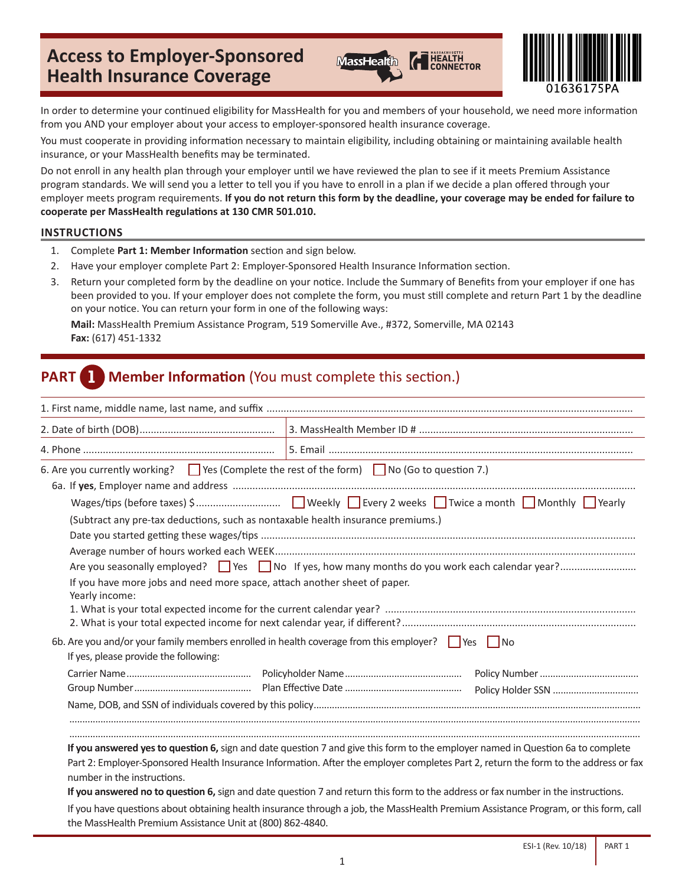# **Access to Employer-Sponsored Health Insurance Coverage**





In order to determine your continued eligibility for MassHealth for you and members of your household, we need more information from you AND your employer about your access to employer-sponsored health insurance coverage.

You must cooperate in providing information necessary to maintain eligibility, including obtaining or maintaining available health insurance, or your MassHealth benefits may be terminated.

Do not enroll in any health plan through your employer until we have reviewed the plan to see if it meets Premium Assistance program standards. We will send you a letter to tell you if you have to enroll in a plan if we decide a plan offered through your employer meets program requirements. **If you do not return this form by the deadline, your coverage may be ended for failure to cooperate per MassHealth regulations at 130 CMR 501.010.**

#### **INSTRUCTIONS**

- 1. Complete **Part 1: Member Information** section and sign below.
- 2. Have your employer complete Part 2: Employer-Sponsored Health Insurance Information section.
- 3. Return your completed form by the deadline on your notice. Include the Summary of Benefits from your employer if one has been provided to you. If your employer does not complete the form, you must still complete and return Part 1 by the deadline on your notice. You can return your form in one of the following ways:

**Mail:** MassHealth Premium Assistance Program, 519 Somerville Ave., #372, Somerville, MA 02143 **Fax:** (617) 451-1332

# **PART 1 Member Information** (You must complete this section.)

| 6. Are you currently working? $\Box$ Yes (Complete the rest of the form) $\Box$ No (Go to question 7.)<br>(Subtract any pre-tax deductions, such as nontaxable health insurance premiums.)<br>If you have more jobs and need more space, attach another sheet of paper.<br>Yearly income: |                                                                                                                                                                                                                                                                                                                                                                                                                                                                                                                                                    |
|-------------------------------------------------------------------------------------------------------------------------------------------------------------------------------------------------------------------------------------------------------------------------------------------|----------------------------------------------------------------------------------------------------------------------------------------------------------------------------------------------------------------------------------------------------------------------------------------------------------------------------------------------------------------------------------------------------------------------------------------------------------------------------------------------------------------------------------------------------|
| 6b. Are you and/or your family members enrolled in health coverage from this employer? $\Box$ Yes $\Box$ No<br>If yes, please provide the following:                                                                                                                                      |                                                                                                                                                                                                                                                                                                                                                                                                                                                                                                                                                    |
|                                                                                                                                                                                                                                                                                           |                                                                                                                                                                                                                                                                                                                                                                                                                                                                                                                                                    |
| number in the instructions.<br>the MassHealth Premium Assistance Unit at (800) 862-4840.                                                                                                                                                                                                  | If you answered yes to question 6, sign and date question 7 and give this form to the employer named in Question 6a to complete<br>Part 2: Employer-Sponsored Health Insurance Information. After the employer completes Part 2, return the form to the address or fax<br>If you answered no to question 6, sign and date question 7 and return this form to the address or fax number in the instructions.<br>If you have questions about obtaining health insurance through a job, the MassHealth Premium Assistance Program, or this form, call |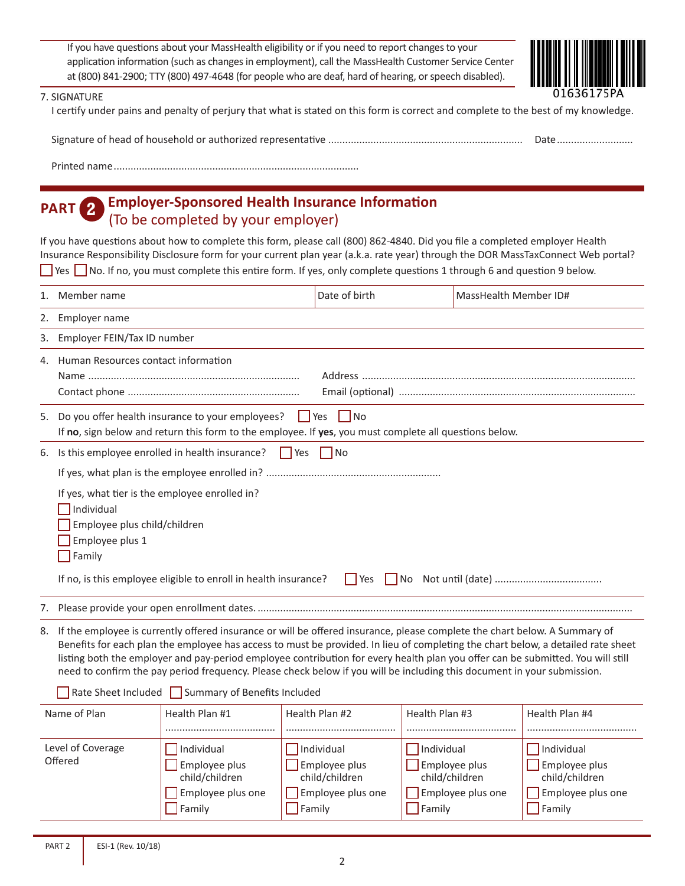If you have questions about your MassHealth eligibility or if you need to report changes to your application information (such as changes in employment), call the MassHealth Customer Service Center at (800) 841-2900; TTY (800) 497-4648 (for people who are deaf, hard of hearing, or speech disabled).



| 7. SIGNATURE |  |
|--------------|--|
|--------------|--|

I certify under pains and penalty of perjury that what is stated on this form is correct and complete to the best of my knowledge.

|  | Date |
|--|------|
|--|------|

Printed name.......................................................................................

### **PART 2 Employer-Sponsored Health Insurance Information**  (To be completed by your employer)

If you have questions about how to complete this form, please call (800) 862-4840. Did you file a completed employer Health Insurance Responsibility Disclosure form for your current plan year (a.k.a. rate year) through the DOR MassTaxConnect Web portal? ■ Yes ■ No. If no, you must complete this entire form. If yes, only complete questions 1 through 6 and question 9 below.

| 1.                           | Member name                                                                                                                                                                                                                                                                                                                                                                                                                                                                                                                     |                                                                                            | Date of birth                                                                                     | MassHealth Member ID#                                                                      |                                                                                                   |  |  |  |
|------------------------------|---------------------------------------------------------------------------------------------------------------------------------------------------------------------------------------------------------------------------------------------------------------------------------------------------------------------------------------------------------------------------------------------------------------------------------------------------------------------------------------------------------------------------------|--------------------------------------------------------------------------------------------|---------------------------------------------------------------------------------------------------|--------------------------------------------------------------------------------------------|---------------------------------------------------------------------------------------------------|--|--|--|
| 2.                           | Employer name                                                                                                                                                                                                                                                                                                                                                                                                                                                                                                                   |                                                                                            |                                                                                                   |                                                                                            |                                                                                                   |  |  |  |
| 3.                           | Employer FEIN/Tax ID number                                                                                                                                                                                                                                                                                                                                                                                                                                                                                                     |                                                                                            |                                                                                                   |                                                                                            |                                                                                                   |  |  |  |
| 4.                           | Human Resources contact information                                                                                                                                                                                                                                                                                                                                                                                                                                                                                             |                                                                                            |                                                                                                   |                                                                                            |                                                                                                   |  |  |  |
| 5.                           | $\Box$ Yes $\Box$ No<br>Do you offer health insurance to your employees?<br>If no, sign below and return this form to the employee. If yes, you must complete all questions below.                                                                                                                                                                                                                                                                                                                                              |                                                                                            |                                                                                                   |                                                                                            |                                                                                                   |  |  |  |
| 6.                           |                                                                                                                                                                                                                                                                                                                                                                                                                                                                                                                                 | Is this employee enrolled in health insurance?<br>$\Box$ Yes $\Box$ No                     |                                                                                                   |                                                                                            |                                                                                                   |  |  |  |
|                              |                                                                                                                                                                                                                                                                                                                                                                                                                                                                                                                                 |                                                                                            |                                                                                                   |                                                                                            |                                                                                                   |  |  |  |
| 7.                           | If yes, what tier is the employee enrolled in?<br>Individual<br>Employee plus child/children<br>Employee plus 1<br>$\sqrt{\frac{1}{2}}$ Family<br>If no, is this employee eligible to enroll in health insurance?<br>$\Box$ Yes                                                                                                                                                                                                                                                                                                 |                                                                                            |                                                                                                   |                                                                                            |                                                                                                   |  |  |  |
|                              | 8. If the employee is currently offered insurance or will be offered insurance, please complete the chart below. A Summary of<br>Benefits for each plan the employee has access to must be provided. In lieu of completing the chart below, a detailed rate sheet<br>listing both the employer and pay-period employee contribution for every health plan you offer can be submitted. You will still<br>need to confirm the pay period frequency. Please check below if you will be including this document in your submission. |                                                                                            |                                                                                                   |                                                                                            |                                                                                                   |  |  |  |
|                              |                                                                                                                                                                                                                                                                                                                                                                                                                                                                                                                                 | Rate Sheet Included Summary of Benefits Included                                           |                                                                                                   |                                                                                            |                                                                                                   |  |  |  |
| Name of Plan                 |                                                                                                                                                                                                                                                                                                                                                                                                                                                                                                                                 | Health Plan #1                                                                             | Health Plan #2                                                                                    | Health Plan #3                                                                             | Health Plan #4                                                                                    |  |  |  |
| Level of Coverage<br>Offered |                                                                                                                                                                                                                                                                                                                                                                                                                                                                                                                                 | $\Box$ Individual<br>$\Box$ Employee plus<br>child/children<br>Employee plus one<br>Family | Individual<br>Employee plus<br>child/children<br>Employee plus one<br>$\sqrt{\frac{1}{2}}$ Family | $\Box$ Individual<br><b>Employee plus</b><br>child/children<br>Employee plus one<br>Family | $\Box$ Individual<br>$\Box$ Employee plus<br>child/children<br>Employee plus one<br>$\Box$ Family |  |  |  |